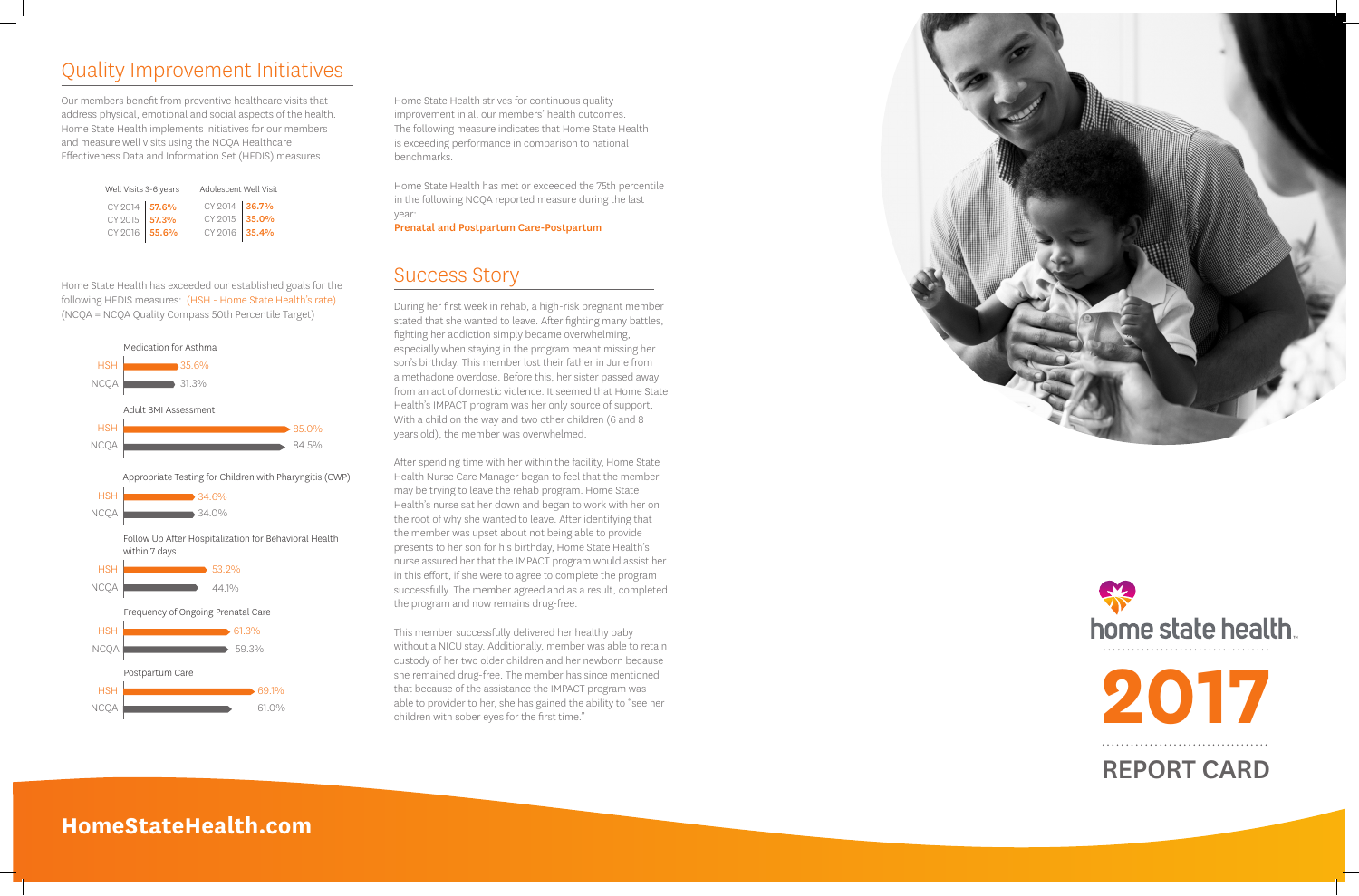### Quality Improvement Initiatives

Our members benefit from preventive healthcare visits that address physical, emotional and social aspects of the health. Home State Health implements initiatives for our members and measure well visits using the NCQA Healthcare Effectiveness Data and Information Set (HEDIS) measures.

Home State Health has exceeded our established goals for the following HEDIS measures: (HSH - Home State Health's rate) (NCQA = NCQA Quality Compass 50th Percentile Target)

Home State Health strives for continuous quality improvement in all our members' health outcomes. The following measure indicates that Home State Health is exceeding performance in comparison to national benchmarks.

Home State Health has met or exceeded the 75th percentile in the following NCQA reported measure during the last year:

Prenatal and Postpartum Care-Postpartum

#### Success Story

During her first week in rehab, a high-risk pregnant member stated that she wanted to leave. After fighting many battles, fighting her addiction simply became overwhelming, especially when staying in the program meant missing her son's birthday. This member lost their father in June from a methadone overdose. Before this, her sister passed away from an act of domestic violence. It seemed that Home State Health's IMPACT program was her only source of support. With a child on the way and two other children (6 and 8 years old), the member was overwhelmed.



After spending time with her within the facility, Home State Health Nurse Care Manager began to feel that the member may be trying to leave the rehab program. Home State Health's nurse sat her down and began to work with her on the root of why she wanted to leave. After identifying that the member was upset about not being able to provide presents to her son for his birthday, Home State Health's nurse assured her that the IMPACT program would assist her in this effort, if she were to agree to complete the program successfully. The member agreed and as a result, completed the program and now remains drug-free.

This member successfully delivered her healthy baby without a NICU stay. Additionally, member was able to retain custody of her two older children and her newborn because she remained drug-free. The member has since mentioned that because of the assistance the IMPACT program was able to provider to her, she has gained the ability to "see her children with sober eyes for the first time."





### **HomeStateHealth.com**

| Well Visits 3-6 years                           |  | Adolescent Well Visit                           |  |
|-------------------------------------------------|--|-------------------------------------------------|--|
| CY 2014 57.6%<br>CY 2015 57.3%<br>CY 2016 55.6% |  | CY 2014 36.7%<br>CY 2015 35.0%<br>CY 2016 35.4% |  |
|                                                 |  |                                                 |  |
|                                                 |  |                                                 |  |